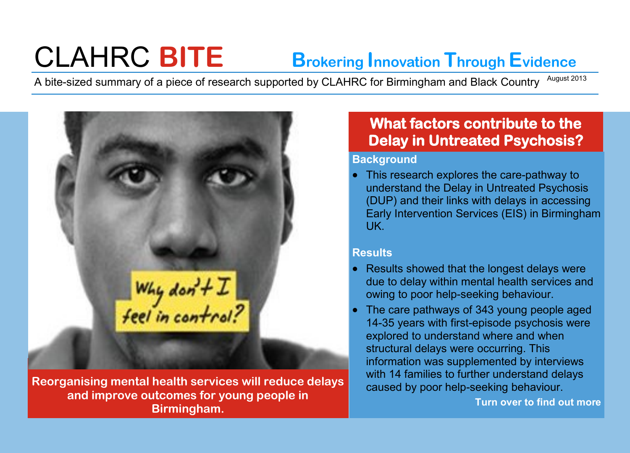# CLAHRC **BITE Brokering Innovation Through Evidence**

A bite-sized summary of a piece of research supported by CLAHRC for Birmingham and Black Country <sup>August 2013</sup>



**Reorganising mental health services will reduce delays and improve outcomes for young people in Birmingham.** 

# **What factors contribute to the Delay in Untreated Psychosis?**

## **Background**

• This research explores the care-pathway to understand the Delay in Untreated Psychosis (DUP) and their links with delays in accessing Early Intervention Services (EIS) in Birmingham UK.

# **Results**

- Results showed that the longest delays were due to delay within mental health services and owing to poor help-seeking behaviour.
- The care pathways of 343 young people aged 14-35 years with first-episode psychosis were explored to understand where and when structural delays were occurring. This information was supplemented by interviews with 14 families to further understand delays caused by poor help-seeking behaviour.